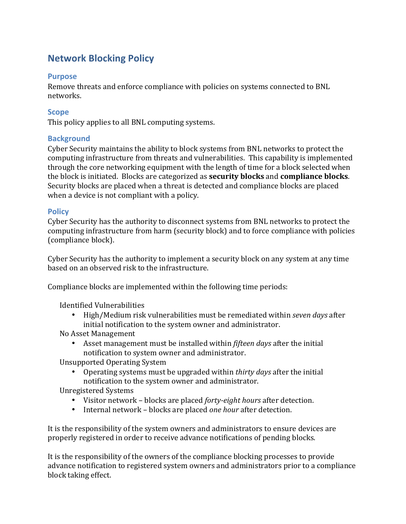# **Network Blocking Policy**

### **Purpose**

Remove threats and enforce compliance with policies on systems connected to BNL networks.

### **Scope**

This policy applies to all BNL computing systems.

### **Background**

Cyber Security maintains the ability to block systems from BNL networks to protect the computing infrastructure from threats and vulnerabilities. This capability is implemented through the core networking equipment with the length of time for a block selected when the block is initiated. Blocks are categorized as **security blocks** and **compliance blocks**. Security blocks are placed when a threat is detected and compliance blocks are placed when a device is not compliant with a policy.

#### **Policy**

Cyber Security has the authority to disconnect systems from BNL networks to protect the computing infrastructure from harm (security block) and to force compliance with policies (compliance block).

Cyber Security has the authority to implement a security block on any system at any time based on an observed risk to the infrastructure.

Compliance blocks are implemented within the following time periods:

Identified Vulnerabilities

• High/Medium risk vulnerabilities must be remediated within *seven days* after initial notification to the system owner and administrator.

No Asset Management

• Asset management must be installed within *fifteen days* after the initial notification to system owner and administrator.

Unsupported Operating System

• Operating systems must be upgraded within *thirty days* after the initial notification to the system owner and administrator.

Unregistered Systems

- Visitor network blocks are placed *forty-eight hours* after detection.
- Internal network blocks are placed *one hour* after detection.

It is the responsibility of the system owners and administrators to ensure devices are properly registered in order to receive advance notifications of pending blocks.

It is the responsibility of the owners of the compliance blocking processes to provide advance notification to registered system owners and administrators prior to a compliance block taking effect.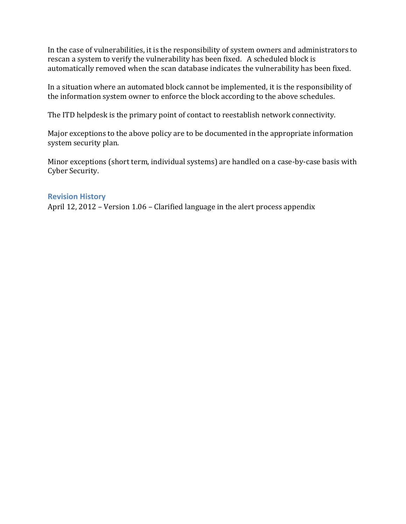In the case of vulnerabilities, it is the responsibility of system owners and administrators to rescan a system to verify the vulnerability has been fixed. A scheduled block is automatically removed when the scan database indicates the vulnerability has been fixed.

In a situation where an automated block cannot be implemented, it is the responsibility of the information system owner to enforce the block according to the above schedules.

The ITD helpdesk is the primary point of contact to reestablish network connectivity.

Major exceptions to the above policy are to be documented in the appropriate information system security plan.

Minor exceptions (short term, individual systems) are handled on a case-by-case basis with Cyber Security.

#### **Revision History**

April 12, 2012 – Version  $1.06$  – Clarified language in the alert process appendix